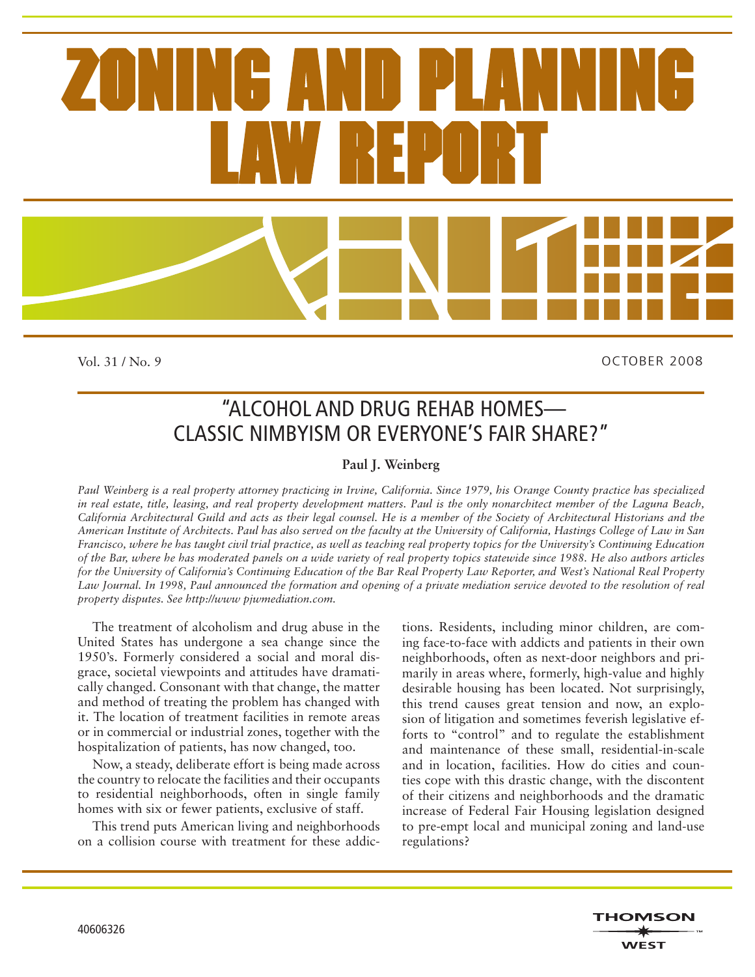

Vol. 31 / No. 9

OCTOBER 2008

# "ALCOHOL AND DRUG REHAB HOMES— CLASSIC NIMBYISM OR EVERYONE'S FAIR SHARE?"

### **Paul J. Weinberg**

*Paul Weinberg is a real property attorney practicing in Irvine, California. Since 1979, his Orange County practice has specialized in real estate, title, leasing, and real property development matters. Paul is the only nonarchitect member of the Laguna Beach, California Architectural Guild and acts as their legal counsel. He is a member of the Society of Architectural Historians and the American Institute of Architects. Paul has also served on the faculty at the University of California, Hastings College of Law in San Francisco, where he has taught civil trial practice, as well as teaching real property topics for the University's Continuing Education of the Bar, where he has moderated panels on a wide variety of real property topics statewide since 1988. He also authors articles for the University of California's Continuing Education of the Bar Real Property Law Reporter, and West's National Real Property*  Law Journal. In 1998, Paul announced the formation and opening of a private mediation service devoted to the resolution of real *property disputes. See http://www pjwmediation.com.*

The treatment of alcoholism and drug abuse in the United States has undergone a sea change since the 1950's. Formerly considered a social and moral disgrace, societal viewpoints and attitudes have dramatically changed. Consonant with that change, the matter and method of treating the problem has changed with it. The location of treatment facilities in remote areas or in commercial or industrial zones, together with the hospitalization of patients, has now changed, too.

Now, a steady, deliberate effort is being made across the country to relocate the facilities and their occupants to residential neighborhoods, often in single family homes with six or fewer patients, exclusive of staff.

This trend puts American living and neighborhoods on a collision course with treatment for these addictions. Residents, including minor children, are coming face-to-face with addicts and patients in their own neighborhoods, often as next-door neighbors and primarily in areas where, formerly, high-value and highly desirable housing has been located. Not surprisingly, this trend causes great tension and now, an explosion of litigation and sometimes feverish legislative efforts to "control" and to regulate the establishment and maintenance of these small, residential-in-scale and in location, facilities. How do cities and counties cope with this drastic change, with the discontent of their citizens and neighborhoods and the dramatic increase of Federal Fair Housing legislation designed to pre-empt local and municipal zoning and land-use regulations?

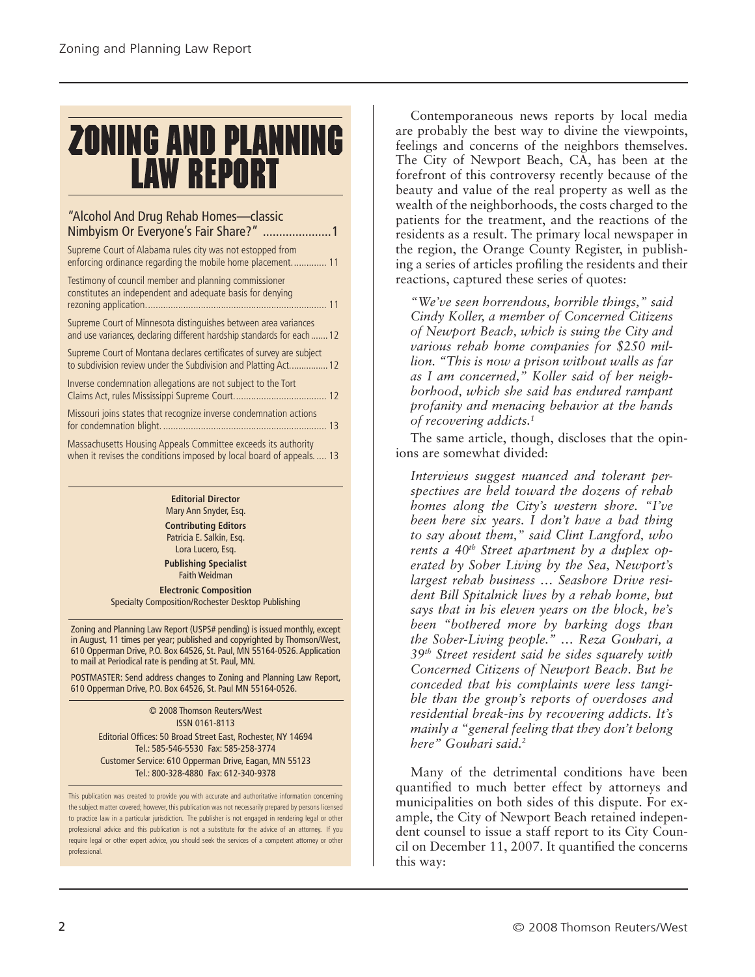# **ZONING AND PLANNING LAW REPORT**

### "Alcohol And Drug Rehab Homes—classic Nimbyism Or Everyone's Fair Share?" .....................1 Supreme Court of Alabama rules city was not estopped from enforcing ordinance regarding the mobile home placement.............. 11 Testimony of council member and planning commissioner constitutes an independent and adequate basis for denying rezoning application........................................................................ 11 Supreme Court of Minnesota distinguishes between area variances and use variances, declaring different hardship standards for each.......12 Supreme Court of Montana declares certificates of survey are subject to subdivision review under the Subdivision and Platting Act................12 Inverse condemnation allegations are not subject to the Tort Claims Act, rules Mississippi Supreme Court..................................... 12 Missouri joins states that recognize inverse condemnation actions for condemnation blight. ................................................................. 13 Massachusetts Housing Appeals Committee exceeds its authority when it revises the conditions imposed by local board of appeals. .... 13

**Editorial Director** Mary Ann Snyder, Esq. **Contributing Editors**

Patricia E. Salkin, Esq. Lora Lucero, Esq.

**Publishing Specialist** Faith Weidman

**Electronic Composition** Specialty Composition/Rochester Desktop Publishing

Zoning and Planning Law Report (USPS# pending) is issued monthly, except in August, 11 times per year; published and copyrighted by Thomson/West, 610 Opperman Drive, P.O. Box 64526, St. Paul, MN 55164-0526. Application to mail at Periodical rate is pending at St. Paul, MN.

POSTMASTER: Send address changes to Zoning and Planning Law Report, 610 Opperman Drive, P.O. Box 64526, St. Paul MN 55164-0526.

> © 2008 Thomson Reuters/West ISSN 0161-8113 Editorial Offices: 50 Broad Street East, Rochester, NY 14694 Tel.: 585-546-5530 Fax: 585-258-3774 Customer Service: 610 Opperman Drive, Eagan, MN 55123 Tel.: 800-328-4880 Fax: 612-340-9378

This publication was created to provide you with accurate and authoritative information concerning the subject matter covered; however, this publication was not necessarily prepared by persons licensed to practice law in a particular jurisdiction. The publisher is not engaged in rendering legal or other professional advice and this publication is not a substitute for the advice of an attorney. If you require legal or other expert advice, you should seek the services of a competent attorney or other professional.

Contemporaneous news reports by local media are probably the best way to divine the viewpoints, feelings and concerns of the neighbors themselves. The City of Newport Beach, CA, has been at the forefront of this controversy recently because of the beauty and value of the real property as well as the wealth of the neighborhoods, the costs charged to the patients for the treatment, and the reactions of the residents as a result. The primary local newspaper in the region, the Orange County Register, in publishing a series of articles profiling the residents and their reactions, captured these series of quotes:

*"We've seen horrendous, horrible things," said Cindy Koller, a member of Concerned Citizens of Newport Beach, which is suing the City and various rehab home companies for \$250 million. "This is now a prison without walls as far as I am concerned," Koller said of her neighborhood, which she said has endured rampant profanity and menacing behavior at the hands of recovering addicts.1*

The same article, though, discloses that the opinions are somewhat divided:

*Interviews suggest nuanced and tolerant perspectives are held toward the dozens of rehab homes along the City's western shore. "I've been here six years. I don't have a bad thing to say about them," said Clint Langford, who*  rents a 40<sup>th</sup> Street apartment by a duplex op*erated by Sober Living by the Sea, Newport's largest rehab business … Seashore Drive resident Bill Spitalnick lives by a rehab home, but says that in his eleven years on the block, he's been "bothered more by barking dogs than the Sober-Living people." … Reza Gouhari, a 39th Street resident said he sides squarely with Concerned Citizens of Newport Beach. But he conceded that his complaints were less tangible than the group's reports of overdoses and residential break-ins by recovering addicts. It's mainly a "general feeling that they don't belong here" Gouhari said.2*

Many of the detrimental conditions have been quantified to much better effect by attorneys and municipalities on both sides of this dispute. For example, the City of Newport Beach retained independent counsel to issue a staff report to its City Council on December 11, 2007. It quantified the concerns this way: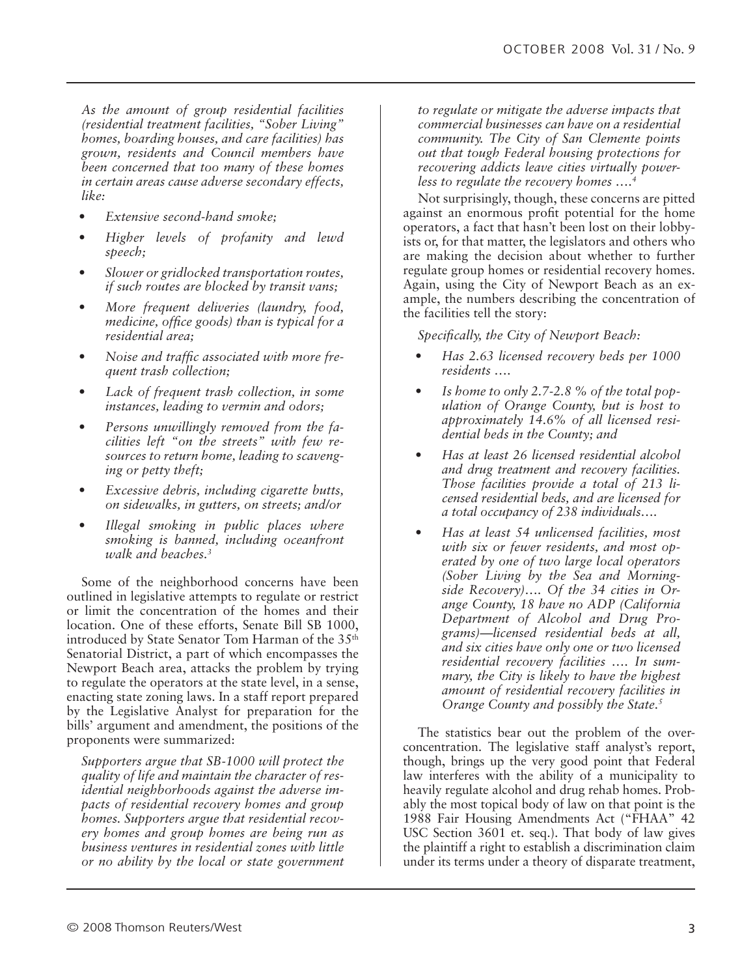*As the amount of group residential facilities (residential treatment facilities, "Sober Living" homes, boarding houses, and care facilities) has grown, residents and Council members have been concerned that too many of these homes in certain areas cause adverse secondary effects, like:*

- *Extensive second-hand smoke;*
- *Higher levels of profanity and lewd speech;*
- *Slower or gridlocked transportation routes, if such routes are blocked by transit vans;*
- *More frequent deliveries (laundry, food, medicine, office goods) than is typical for a residential area;*
- *Noise and traffic associated with more frequent trash collection;*
- *Lack of frequent trash collection, in some instances, leading to vermin and odors;*
- *Persons unwillingly removed from the facilities left "on the streets" with few resources to return home, leading to scavenging or petty theft;*
- *Excessive debris, including cigarette butts, on sidewalks, in gutters, on streets; and/or*
- *Illegal smoking in public places where smoking is banned, including oceanfront walk and beaches.3*

Some of the neighborhood concerns have been outlined in legislative attempts to regulate or restrict or limit the concentration of the homes and their location. One of these efforts, Senate Bill SB 1000, introduced by State Senator Tom Harman of the 35<sup>th</sup> Senatorial District, a part of which encompasses the Newport Beach area, attacks the problem by trying to regulate the operators at the state level, in a sense, enacting state zoning laws. In a staff report prepared by the Legislative Analyst for preparation for the bills' argument and amendment, the positions of the proponents were summarized:

*Supporters argue that SB-1000 will protect the quality of life and maintain the character of residential neighborhoods against the adverse impacts of residential recovery homes and group homes. Supporters argue that residential recovery homes and group homes are being run as business ventures in residential zones with little or no ability by the local or state government* 

*to regulate or mitigate the adverse impacts that commercial businesses can have on a residential community. The City of San Clemente points out that tough Federal housing protections for recovering addicts leave cities virtually powerless to regulate the recovery homes ….4*

Not surprisingly, though, these concerns are pitted against an enormous profit potential for the home operators, a fact that hasn't been lost on their lobbyists or, for that matter, the legislators and others who are making the decision about whether to further regulate group homes or residential recovery homes. Again, using the City of Newport Beach as an example, the numbers describing the concentration of the facilities tell the story:

*Specifically, the City of Newport Beach:*

- *Has 2.63 licensed recovery beds per 1000 residents ….*
- *Is home to only 2.7-2.8 % of the total population of Orange County, but is host to approximately 14.6% of all licensed residential beds in the County; and*
- *Has at least 26 licensed residential alcohol and drug treatment and recovery facilities. Those facilities provide a total of 213 licensed residential beds, and are licensed for a total occupancy of 238 individuals….*
- *Has at least 54 unlicensed facilities, most with six or fewer residents, and most operated by one of two large local operators (Sober Living by the Sea and Morningside Recovery)…. Of the 34 cities in Orange County, 18 have no ADP (California Department of Alcohol and Drug Programs)—licensed residential beds at all, and six cities have only one or two licensed residential recovery facilities …. In summary, the City is likely to have the highest amount of residential recovery facilities in Orange County and possibly the State.5*

The statistics bear out the problem of the overconcentration. The legislative staff analyst's report, though, brings up the very good point that Federal law interferes with the ability of a municipality to heavily regulate alcohol and drug rehab homes. Probably the most topical body of law on that point is the 1988 Fair Housing Amendments Act ("FHAA" 42 USC Section 3601 et. seq.). That body of law gives the plaintiff a right to establish a discrimination claim under its terms under a theory of disparate treatment,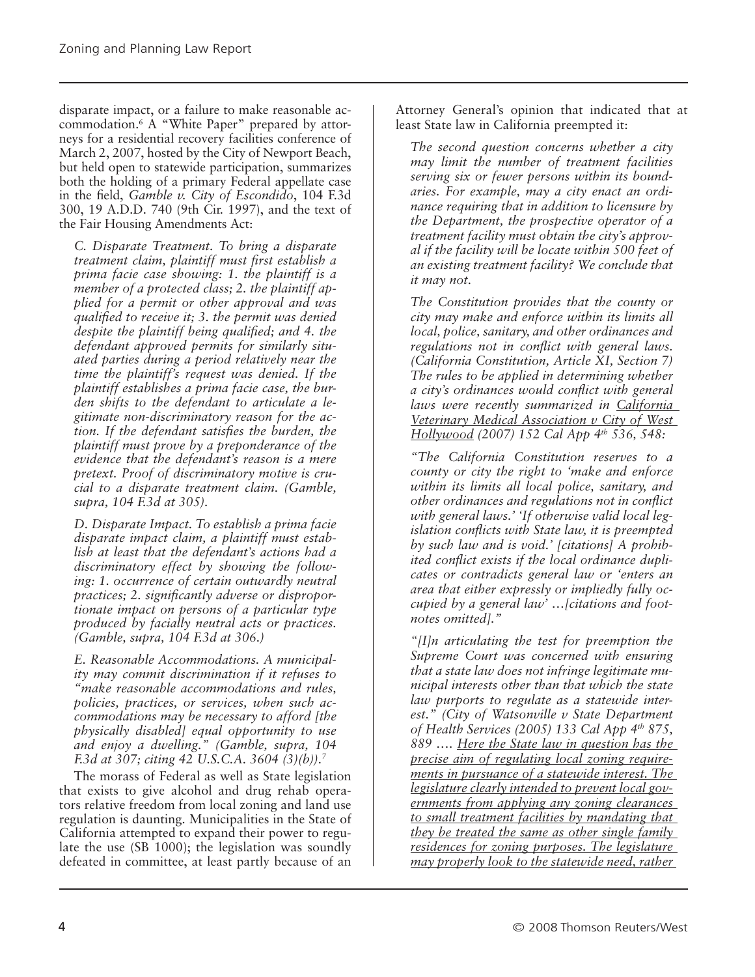disparate impact, or a failure to make reasonable accommodation.6 A "White Paper" prepared by attorneys for a residential recovery facilities conference of March 2, 2007, hosted by the City of Newport Beach, but held open to statewide participation, summarizes both the holding of a primary Federal appellate case in the field, *Gamble v. City of Escondido*, 104 F.3d 300, 19 A.D.D. 740 (9th Cir. 1997), and the text of the Fair Housing Amendments Act:

*C. Disparate Treatment. To bring a disparate treatment claim, plaintiff must first establish a prima facie case showing: 1. the plaintiff is a member of a protected class; 2. the plaintiff applied for a permit or other approval and was qualified to receive it; 3. the permit was denied despite the plaintiff being qualified; and 4. the defendant approved permits for similarly situated parties during a period relatively near the time the plaintiff's request was denied. If the plaintiff establishes a prima facie case, the burden shifts to the defendant to articulate a legitimate non-discriminatory reason for the action. If the defendant satisfies the burden, the plaintiff must prove by a preponderance of the evidence that the defendant's reason is a mere pretext. Proof of discriminatory motive is crucial to a disparate treatment claim. (Gamble, supra, 104 F.3d at 305).*

*D. Disparate Impact. To establish a prima facie disparate impact claim, a plaintiff must establish at least that the defendant's actions had a discriminatory effect by showing the following: 1. occurrence of certain outwardly neutral practices; 2. significantly adverse or disproportionate impact on persons of a particular type produced by facially neutral acts or practices. (Gamble, supra, 104 F.3d at 306.)*

*E. Reasonable Accommodations. A municipality may commit discrimination if it refuses to "make reasonable accommodations and rules, policies, practices, or services, when such accommodations may be necessary to afford [the physically disabled] equal opportunity to use and enjoy a dwelling." (Gamble, supra, 104 F.3d at 307; citing 42 U.S.C.A. 3604 (3)(b)).7*

The morass of Federal as well as State legislation that exists to give alcohol and drug rehab operators relative freedom from local zoning and land use regulation is daunting. Municipalities in the State of California attempted to expand their power to regulate the use (SB 1000); the legislation was soundly defeated in committee, at least partly because of an

Attorney General's opinion that indicated that at least State law in California preempted it:

*The second question concerns whether a city may limit the number of treatment facilities serving six or fewer persons within its boundaries. For example, may a city enact an ordinance requiring that in addition to licensure by the Department, the prospective operator of a treatment facility must obtain the city's approval if the facility will be locate within 500 feet of an existing treatment facility? We conclude that it may not.*

*The Constitution provides that the county or city may make and enforce within its limits all local, police, sanitary, and other ordinances and regulations not in conflict with general laws. (California Constitution, Article XI, Section 7) The rules to be applied in determining whether a city's ordinances would conflict with general laws were recently summarized in California Veterinary Medical Association v City of West Hollywood (2007) 152 Cal App 4th 536, 548:*

*"The California Constitution reserves to a county or city the right to 'make and enforce within its limits all local police, sanitary, and other ordinances and regulations not in conflict with general laws.' 'If otherwise valid local legislation conflicts with State law, it is preempted by such law and is void.' [citations] A prohibited conflict exists if the local ordinance duplicates or contradicts general law or 'enters an area that either expressly or impliedly fully occupied by a general law' …[citations and footnotes omitted]."*

*"[I]n articulating the test for preemption the Supreme Court was concerned with ensuring that a state law does not infringe legitimate municipal interests other than that which the state law purports to regulate as a statewide interest." (City of Watsonville v State Department of Health Services (2005) 133 Cal App 4th 875, 889 …. Here the State law in question has the precise aim of regulating local zoning requirements in pursuance of a statewide interest. The legislature clearly intended to prevent local governments from applying any zoning clearances to small treatment facilities by mandating that they be treated the same as other single family residences for zoning purposes. The legislature may properly look to the statewide need, rather*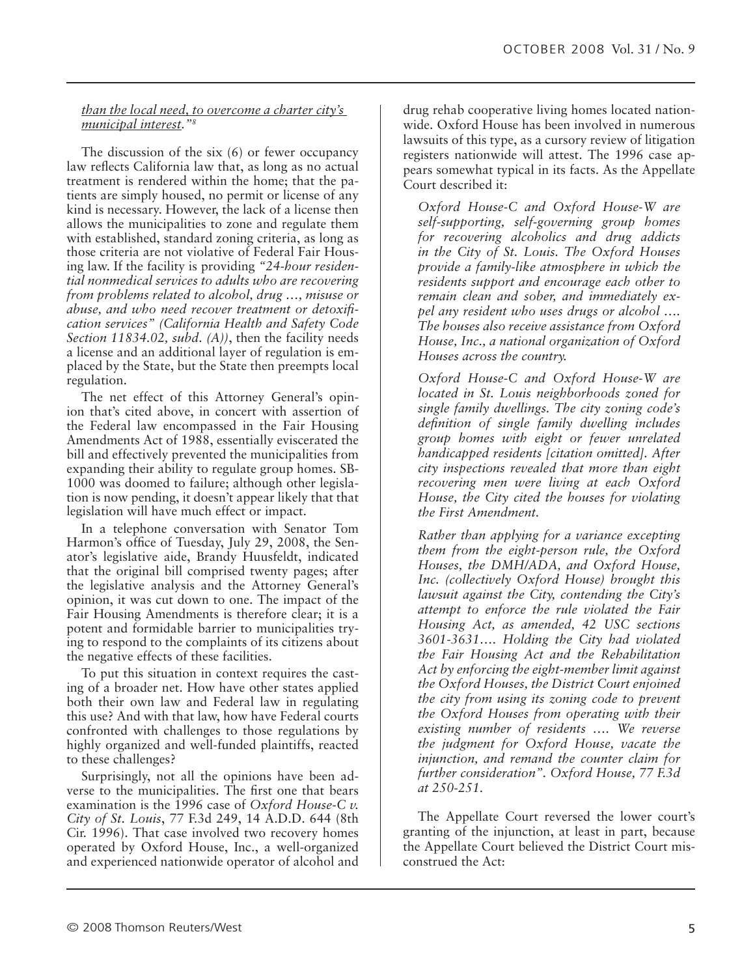#### *than the local need, to overcome a charter city's municipal interest."8*

The discussion of the six (6) or fewer occupancy law reflects California law that, as long as no actual treatment is rendered within the home; that the patients are simply housed, no permit or license of any kind is necessary. However, the lack of a license then allows the municipalities to zone and regulate them with established, standard zoning criteria, as long as those criteria are not violative of Federal Fair Housing law. If the facility is providing *"24-hour residential nonmedical services to adults who are recovering from problems related to alcohol, drug …, misuse or abuse, and who need recover treatment or detoxification services" (California Health and Safety Code Section 11834.02, subd. (A))*, then the facility needs a license and an additional layer of regulation is emplaced by the State, but the State then preempts local regulation.

The net effect of this Attorney General's opinion that's cited above, in concert with assertion of the Federal law encompassed in the Fair Housing Amendments Act of 1988, essentially eviscerated the bill and effectively prevented the municipalities from expanding their ability to regulate group homes. SB-1000 was doomed to failure; although other legislation is now pending, it doesn't appear likely that that legislation will have much effect or impact.

In a telephone conversation with Senator Tom Harmon's office of Tuesday, July 29, 2008, the Senator's legislative aide, Brandy Huusfeldt, indicated that the original bill comprised twenty pages; after the legislative analysis and the Attorney General's opinion, it was cut down to one. The impact of the Fair Housing Amendments is therefore clear; it is a potent and formidable barrier to municipalities trying to respond to the complaints of its citizens about the negative effects of these facilities.

To put this situation in context requires the casting of a broader net. How have other states applied both their own law and Federal law in regulating this use? And with that law, how have Federal courts confronted with challenges to those regulations by highly organized and well-funded plaintiffs, reacted to these challenges?

Surprisingly, not all the opinions have been adverse to the municipalities. The first one that bears examination is the 1996 case of *Oxford House-C v. City of St. Louis*, 77 F.3d 249, 14 A.D.D. 644 (8th Cir. 1996). That case involved two recovery homes operated by Oxford House, Inc., a well-organized and experienced nationwide operator of alcohol and

drug rehab cooperative living homes located nationwide. Oxford House has been involved in numerous lawsuits of this type, as a cursory review of litigation registers nationwide will attest. The 1996 case appears somewhat typical in its facts. As the Appellate Court described it:

*Oxford House-C and Oxford House-W are self-supporting, self-governing group homes for recovering alcoholics and drug addicts in the City of St. Louis. The Oxford Houses provide a family-like atmosphere in which the residents support and encourage each other to remain clean and sober, and immediately expel any resident who uses drugs or alcohol …. The houses also receive assistance from Oxford House, Inc., a national organization of Oxford Houses across the country.*

*Oxford House-C and Oxford House-W are located in St. Louis neighborhoods zoned for single family dwellings. The city zoning code's definition of single family dwelling includes group homes with eight or fewer unrelated handicapped residents [citation omitted]. After city inspections revealed that more than eight recovering men were living at each Oxford House, the City cited the houses for violating the First Amendment.*

*Rather than applying for a variance excepting them from the eight-person rule, the Oxford Houses, the DMH/ADA, and Oxford House, Inc. (collectively Oxford House) brought this lawsuit against the City, contending the City's attempt to enforce the rule violated the Fair Housing Act, as amended, 42 USC sections 3601-3631…. Holding the City had violated the Fair Housing Act and the Rehabilitation Act by enforcing the eight-member limit against the Oxford Houses, the District Court enjoined the city from using its zoning code to prevent the Oxford Houses from operating with their existing number of residents …. We reverse the judgment for Oxford House, vacate the injunction, and remand the counter claim for further consideration". Oxford House, 77 F.3d at 250-251.*

The Appellate Court reversed the lower court's granting of the injunction, at least in part, because the Appellate Court believed the District Court misconstrued the Act: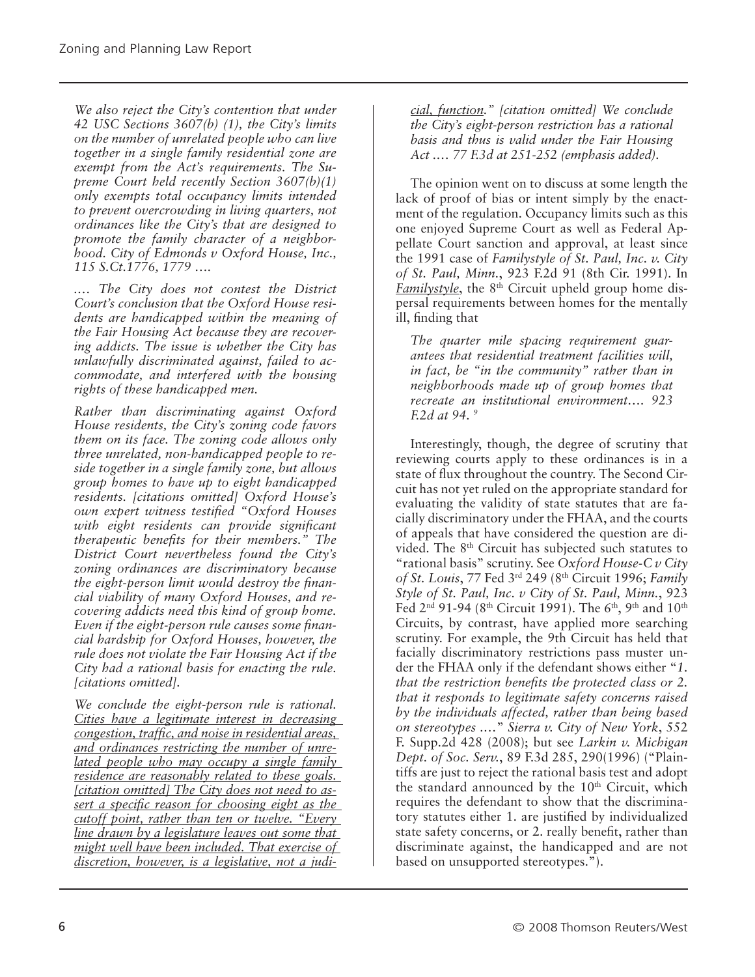*We also reject the City's contention that under 42 USC Sections 3607(b) (1), the City's limits on the number of unrelated people who can live together in a single family residential zone are exempt from the Act's requirements. The Supreme Court held recently Section 3607(b)(1) only exempts total occupancy limits intended to prevent overcrowding in living quarters, not ordinances like the City's that are designed to promote the family character of a neighborhood. City of Edmonds v Oxford House, Inc., 115 S.Ct.1776, 1779 ….*

*.… The City does not contest the District Court's conclusion that the Oxford House residents are handicapped within the meaning of the Fair Housing Act because they are recovering addicts. The issue is whether the City has unlawfully discriminated against, failed to accommodate, and interfered with the housing rights of these handicapped men.*

*Rather than discriminating against Oxford House residents, the City's zoning code favors them on its face. The zoning code allows only three unrelated, non-handicapped people to reside together in a single family zone, but allows group homes to have up to eight handicapped residents. [citations omitted] Oxford House's own expert witness testified "Oxford Houses with eight residents can provide significant therapeutic benefits for their members." The District Court nevertheless found the City's zoning ordinances are discriminatory because the eight-person limit would destroy the financial viability of many Oxford Houses, and recovering addicts need this kind of group home. Even if the eight-person rule causes some financial hardship for Oxford Houses, however, the rule does not violate the Fair Housing Act if the City had a rational basis for enacting the rule. [citations omitted].*

*We conclude the eight-person rule is rational. Cities have a legitimate interest in decreasing congestion, traffic, and noise in residential areas, and ordinances restricting the number of unrelated people who may occupy a single family residence are reasonably related to these goals. [citation omitted] The City does not need to assert a specific reason for choosing eight as the cutoff point, rather than ten or twelve. "Every line drawn by a legislature leaves out some that might well have been included. That exercise of discretion, however, is a legislative, not a judi-* *cial, function." [citation omitted] We conclude the City's eight-person restriction has a rational basis and thus is valid under the Fair Housing Act .… 77 F.3d at 251-252 (emphasis added).*

The opinion went on to discuss at some length the lack of proof of bias or intent simply by the enactment of the regulation. Occupancy limits such as this one enjoyed Supreme Court as well as Federal Appellate Court sanction and approval, at least since the 1991 case of *Familystyle of St. Paul, Inc. v. City of St. Paul, Minn.*, 923 F.2d 91 (8th Cir. 1991). In *Familystyle*, the 8<sup>th</sup> Circuit upheld group home dispersal requirements between homes for the mentally ill, finding that

*The quarter mile spacing requirement guarantees that residential treatment facilities will, in fact, be "in the community" rather than in neighborhoods made up of group homes that recreate an institutional environment…. 923 F.2d at 94. 9*

Interestingly, though, the degree of scrutiny that reviewing courts apply to these ordinances is in a state of flux throughout the country. The Second Circuit has not yet ruled on the appropriate standard for evaluating the validity of state statutes that are facially discriminatory under the FHAA, and the courts of appeals that have considered the question are divided. The 8th Circuit has subjected such statutes to "rational basis" scrutiny. See *Oxford House-C v City of St. Louis*, 77 Fed 3rd 249 (8th Circuit 1996; *Family Style of St. Paul, Inc. v City of St. Paul, Minn.*, 923 Fed  $2^{nd}$  91-94 (8<sup>th</sup> Circuit 1991). The 6<sup>th</sup>, 9<sup>th</sup> and 10<sup>th</sup> Circuits, by contrast, have applied more searching scrutiny. For example, the 9th Circuit has held that facially discriminatory restrictions pass muster under the FHAA only if the defendant shows either "*1. that the restriction benefits the protected class or 2. that it responds to legitimate safety concerns raised by the individuals affected, rather than being based on stereotypes .…*" *Sierra v. City of New York*, 552 F. Supp.2d 428 (2008); but see *Larkin v. Michigan Dept. of Soc. Serv.*, 89 F.3d 285, 290(1996) ("Plaintiffs are just to reject the rational basis test and adopt the standard announced by the 10<sup>th</sup> Circuit, which requires the defendant to show that the discriminatory statutes either 1. are justified by individualized state safety concerns, or 2. really benefit, rather than discriminate against, the handicapped and are not based on unsupported stereotypes.").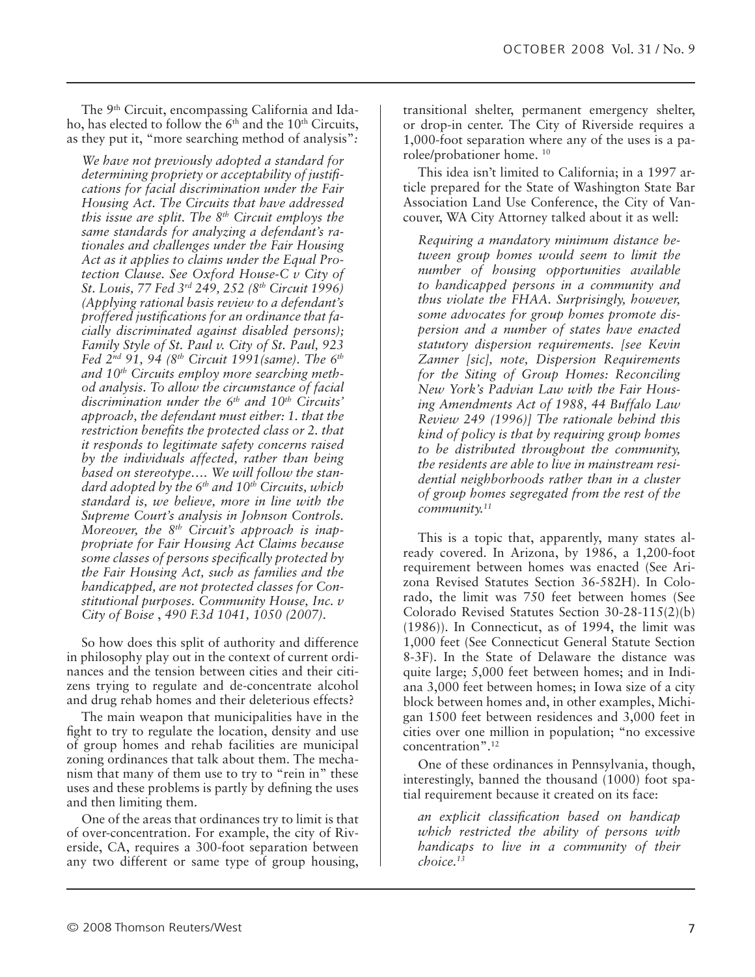The 9th Circuit, encompassing California and Idaho, has elected to follow the  $6<sup>th</sup>$  and the 10<sup>th</sup> Circuits, as they put it, "more searching method of analysis"*:*

*We have not previously adopted a standard for determining propriety or acceptability of justifications for facial discrimination under the Fair Housing Act. The Circuits that have addressed this issue are split. The 8th Circuit employs the same standards for analyzing a defendant's rationales and challenges under the Fair Housing Act as it applies to claims under the Equal Protection Clause. See Oxford House-C v City of St. Louis, 77 Fed 3rd 249, 252 (8th Circuit 1996) (Applying rational basis review to a defendant's proffered justifications for an ordinance that facially discriminated against disabled persons); Family Style of St. Paul v. City of St. Paul, 923 Fed 2nd 91, 94 (8th Circuit 1991(same). The 6th and 10th Circuits employ more searching method analysis. To allow the circumstance of facial discrimination under the 6th and 10th Circuits' approach, the defendant must either: 1. that the restriction benefits the protected class or 2. that it responds to legitimate safety concerns raised by the individuals affected, rather than being based on stereotype…. We will follow the standard adopted by the 6th and 10th Circuits, which standard is, we believe, more in line with the Supreme Court's analysis in Johnson Controls. Moreover, the 8th Circuit's approach is inappropriate for Fair Housing Act Claims because some classes of persons specifically protected by the Fair Housing Act, such as families and the handicapped, are not protected classes for Constitutional purposes. Community House, Inc. v City of Boise* , *490 F.3d 1041, 1050 (2007).*

So how does this split of authority and difference in philosophy play out in the context of current ordinances and the tension between cities and their citizens trying to regulate and de-concentrate alcohol and drug rehab homes and their deleterious effects?

The main weapon that municipalities have in the fight to try to regulate the location, density and use of group homes and rehab facilities are municipal zoning ordinances that talk about them. The mechanism that many of them use to try to "rein in" these uses and these problems is partly by defining the uses and then limiting them.

One of the areas that ordinances try to limit is that of over-concentration. For example, the city of Riverside, CA, requires a 300-foot separation between any two different or same type of group housing,

transitional shelter, permanent emergency shelter, or drop-in center. The City of Riverside requires a 1,000-foot separation where any of the uses is a parolee/probationer home. 10

This idea isn't limited to California; in a 1997 article prepared for the State of Washington State Bar Association Land Use Conference, the City of Vancouver, WA City Attorney talked about it as well:

*Requiring a mandatory minimum distance between group homes would seem to limit the number of housing opportunities available to handicapped persons in a community and thus violate the FHAA. Surprisingly, however, some advocates for group homes promote dispersion and a number of states have enacted statutory dispersion requirements. [see Kevin Zanner [sic], note, Dispersion Requirements for the Siting of Group Homes: Reconciling New York's Padvian Law with the Fair Housing Amendments Act of 1988, 44 Buffalo Law Review 249 (1996)] The rationale behind this kind of policy is that by requiring group homes to be distributed throughout the community, the residents are able to live in mainstream residential neighborhoods rather than in a cluster of group homes segregated from the rest of the community.11*

This is a topic that, apparently, many states already covered. In Arizona, by 1986, a 1,200-foot requirement between homes was enacted (See Arizona Revised Statutes Section 36-582H). In Colorado, the limit was 750 feet between homes (See Colorado Revised Statutes Section 30-28-115(2)(b) (1986)). In Connecticut, as of 1994, the limit was 1,000 feet (See Connecticut General Statute Section 8-3F). In the State of Delaware the distance was quite large; 5,000 feet between homes; and in Indiana 3,000 feet between homes; in Iowa size of a city block between homes and, in other examples, Michigan 1500 feet between residences and 3,000 feet in cities over one million in population; "no excessive concentration".12

One of these ordinances in Pennsylvania, though, interestingly, banned the thousand (1000) foot spatial requirement because it created on its face:

*an explicit classification based on handicap which restricted the ability of persons with handicaps to live in a community of their choice.13*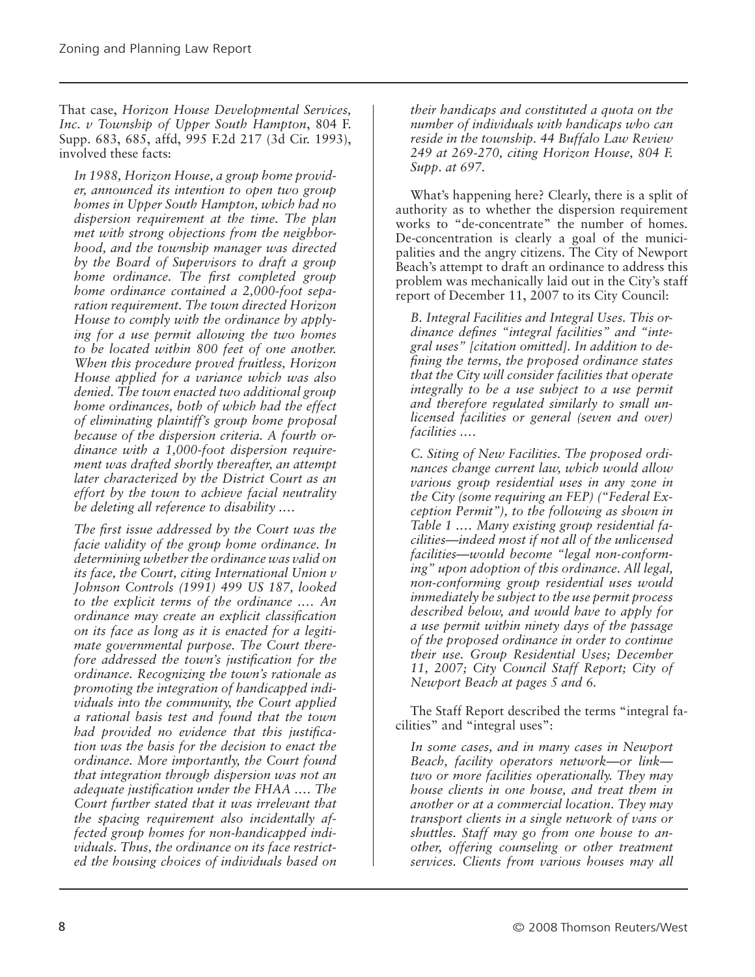That case, *Horizon House Developmental Services, Inc. v Township of Upper South Hampton*, 804 F. Supp. 683, 685, affd, 995 F.2d 217 (3d Cir. 1993), involved these facts:

*In 1988, Horizon House, a group home provider, announced its intention to open two group homes in Upper South Hampton, which had no dispersion requirement at the time. The plan met with strong objections from the neighborhood, and the township manager was directed by the Board of Supervisors to draft a group home ordinance. The first completed group home ordinance contained a 2,000-foot separation requirement. The town directed Horizon House to comply with the ordinance by applying for a use permit allowing the two homes to be located within 800 feet of one another. When this procedure proved fruitless, Horizon House applied for a variance which was also denied. The town enacted two additional group home ordinances, both of which had the effect of eliminating plaintiff's group home proposal because of the dispersion criteria. A fourth ordinance with a 1,000-foot dispersion requirement was drafted shortly thereafter, an attempt later characterized by the District Court as an effort by the town to achieve facial neutrality be deleting all reference to disability .…*

*The first issue addressed by the Court was the facie validity of the group home ordinance. In determining whether the ordinance was valid on its face, the Court, citing International Union v Johnson Controls (1991) 499 US 187, looked to the explicit terms of the ordinance .… An ordinance may create an explicit classification on its face as long as it is enacted for a legitimate governmental purpose. The Court therefore addressed the town's justification for the ordinance. Recognizing the town's rationale as promoting the integration of handicapped individuals into the community, the Court applied a rational basis test and found that the town had provided no evidence that this justification was the basis for the decision to enact the ordinance. More importantly, the Court found that integration through dispersion was not an adequate justification under the FHAA .… The Court further stated that it was irrelevant that the spacing requirement also incidentally affected group homes for non-handicapped individuals. Thus, the ordinance on its face restricted the housing choices of individuals based on* 

*their handicaps and constituted a quota on the number of individuals with handicaps who can reside in the township. 44 Buffalo Law Review 249 at 269-270, citing Horizon House, 804 F. Supp. at 697.*

What's happening here? Clearly, there is a split of authority as to whether the dispersion requirement works to "de-concentrate" the number of homes. De-concentration is clearly a goal of the municipalities and the angry citizens. The City of Newport Beach's attempt to draft an ordinance to address this problem was mechanically laid out in the City's staff report of December 11, 2007 to its City Council:

*B. Integral Facilities and Integral Uses. This ordinance defines "integral facilities" and "integral uses" [citation omitted]. In addition to defining the terms, the proposed ordinance states that the City will consider facilities that operate integrally to be a use subject to a use permit and therefore regulated similarly to small unlicensed facilities or general (seven and over) facilities .…*

*C. Siting of New Facilities. The proposed ordinances change current law, which would allow various group residential uses in any zone in the City (some requiring an FEP) ("Federal Exception Permit"), to the following as shown in Table 1 .… Many existing group residential facilities*—*indeed most if not all of the unlicensed facilities*—*would become "legal non-conforming" upon adoption of this ordinance. All legal, non-conforming group residential uses would immediately be subject to the use permit process described below, and would have to apply for a use permit within ninety days of the passage of the proposed ordinance in order to continue their use. Group Residential Uses; December 11, 2007; City Council Staff Report; City of Newport Beach at pages 5 and 6.*

The Staff Report described the terms "integral facilities" and "integral uses":

*In some cases, and in many cases in Newport Beach, facility operators network*—*or link two or more facilities operationally. They may house clients in one house, and treat them in another or at a commercial location. They may transport clients in a single network of vans or shuttles. Staff may go from one house to another, offering counseling or other treatment services. Clients from various houses may all*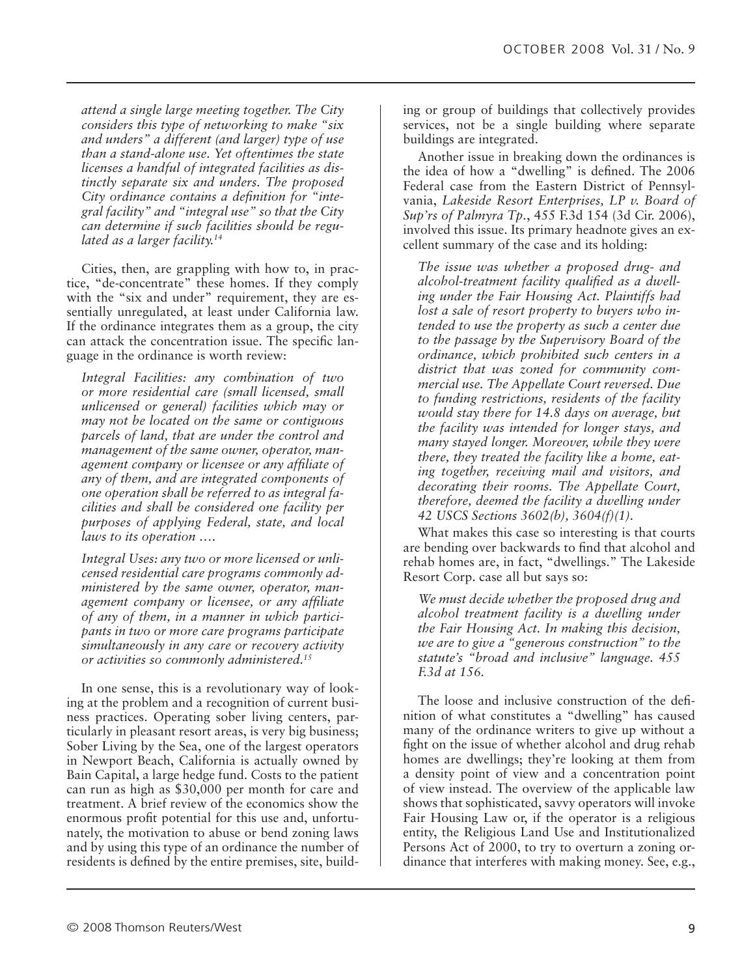*attend a single large meeting together. The City considers this type of networking to make "six and unders" a different (and larger) type of use than a stand-alone use. Yet oftentimes the state licenses a handful of integrated facilities as distinctly separate six and unders. The proposed City ordinance contains a definition for "integral facility" and "integral use" so that the City can determine if such facilities should be regulated as a larger facility.14*

Cities, then, are grappling with how to, in practice, "de-concentrate" these homes. If they comply with the "six and under" requirement, they are essentially unregulated, at least under California law. If the ordinance integrates them as a group, the city can attack the concentration issue. The specific language in the ordinance is worth review:

*Integral Facilities: any combination of two or more residential care (small licensed, small unlicensed or general) facilities which may or may not be located on the same or contiguous parcels of land, that are under the control and management of the same owner, operator, management company or licensee or any affiliate of any of them, and are integrated components of one operation shall be referred to as integral facilities and shall be considered one facility per purposes of applying Federal, state, and local laws to its operation ….*

*Integral Uses: any two or more licensed or unlicensed residential care programs commonly administered by the same owner, operator, management company or licensee, or any affiliate of any of them, in a manner in which participants in two or more care programs participate simultaneously in any care or recovery activity or activities so commonly administered.15*

In one sense, this is a revolutionary way of looking at the problem and a recognition of current business practices. Operating sober living centers, particularly in pleasant resort areas, is very big business; Sober Living by the Sea, one of the largest operators in Newport Beach, California is actually owned by Bain Capital, a large hedge fund. Costs to the patient can run as high as \$30,000 per month for care and treatment. A brief review of the economics show the enormous profit potential for this use and, unfortunately, the motivation to abuse or bend zoning laws and by using this type of an ordinance the number of residents is defined by the entire premises, site, building or group of buildings that collectively provides services, not be a single building where separate buildings are integrated.

Another issue in breaking down the ordinances is the idea of how a "dwelling" is defined. The 2006 Federal case from the Eastern District of Pennsylvania, *Lakeside Resort Enterprises, LP v. Board of Sup'rs of Palmyra Tp.*, 455 F.3d 154 (3d Cir. 2006), involved this issue. Its primary headnote gives an excellent summary of the case and its holding:

*The issue was whether a proposed drug- and alcohol-treatment facility qualified as a dwelling under the Fair Housing Act. Plaintiffs had lost a sale of resort property to buyers who intended to use the property as such a center due to the passage by the Supervisory Board of the ordinance, which prohibited such centers in a district that was zoned for community commercial use. The Appellate Court reversed. Due to funding restrictions, residents of the facility would stay there for 14.8 days on average, but the facility was intended for longer stays, and many stayed longer. Moreover, while they were there, they treated the facility like a home, eating together, receiving mail and visitors, and decorating their rooms. The Appellate Court, therefore, deemed the facility a dwelling under 42 USCS Sections 3602(b), 3604(f)(1).*

What makes this case so interesting is that courts are bending over backwards to find that alcohol and rehab homes are, in fact, "dwellings." The Lakeside Resort Corp. case all but says so:

*We must decide whether the proposed drug and alcohol treatment facility is a dwelling under the Fair Housing Act. In making this decision, we are to give a "generous construction" to the statute's "broad and inclusive" language. 455 F.3d at 156.*

The loose and inclusive construction of the definition of what constitutes a "dwelling" has caused many of the ordinance writers to give up without a fight on the issue of whether alcohol and drug rehab homes are dwellings; they're looking at them from a density point of view and a concentration point of view instead. The overview of the applicable law shows that sophisticated, savvy operators will invoke Fair Housing Law or, if the operator is a religious entity, the Religious Land Use and Institutionalized Persons Act of 2000, to try to overturn a zoning ordinance that interferes with making money. See, e.g.,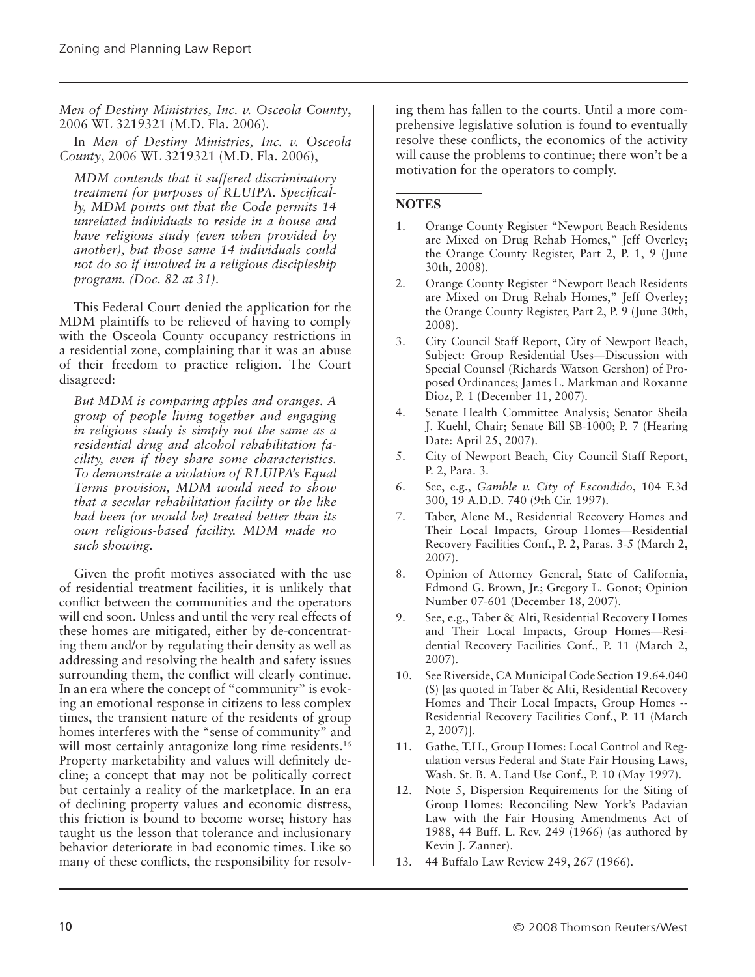*Men of Destiny Ministries, Inc. v. Osceola County*, 2006 WL 3219321 (M.D. Fla. 2006).

In *Men of Destiny Ministries, Inc. v. Osceola County*, 2006 WL 3219321 (M.D. Fla. 2006),

*MDM contends that it suffered discriminatory treatment for purposes of RLUIPA. Specifically, MDM points out that the Code permits 14 unrelated individuals to reside in a house and have religious study (even when provided by another), but those same 14 individuals could not do so if involved in a religious discipleship program. (Doc. 82 at 31).*

This Federal Court denied the application for the MDM plaintiffs to be relieved of having to comply with the Osceola County occupancy restrictions in a residential zone, complaining that it was an abuse of their freedom to practice religion. The Court disagreed:

*But MDM is comparing apples and oranges. A group of people living together and engaging in religious study is simply not the same as a residential drug and alcohol rehabilitation facility, even if they share some characteristics. To demonstrate a violation of RLUIPA's Equal Terms provision, MDM would need to show that a secular rehabilitation facility or the like had been (or would be) treated better than its own religious-based facility. MDM made no such showing.*

Given the profit motives associated with the use of residential treatment facilities, it is unlikely that conflict between the communities and the operators will end soon. Unless and until the very real effects of these homes are mitigated, either by de-concentrating them and/or by regulating their density as well as addressing and resolving the health and safety issues surrounding them, the conflict will clearly continue. In an era where the concept of "community" is evoking an emotional response in citizens to less complex times, the transient nature of the residents of group homes interferes with the "sense of community" and will most certainly antagonize long time residents.<sup>16</sup> Property marketability and values will definitely decline; a concept that may not be politically correct but certainly a reality of the marketplace. In an era of declining property values and economic distress, this friction is bound to become worse; history has taught us the lesson that tolerance and inclusionary behavior deteriorate in bad economic times. Like so many of these conflicts, the responsibility for resolv-

ing them has fallen to the courts. Until a more comprehensive legislative solution is found to eventually resolve these conflicts, the economics of the activity will cause the problems to continue; there won't be a motivation for the operators to comply.

#### **Notes**

- 1. Orange County Register "Newport Beach Residents are Mixed on Drug Rehab Homes," Jeff Overley; the Orange County Register, Part 2, P. 1, 9 (June 30th, 2008).
- 2. Orange County Register "Newport Beach Residents are Mixed on Drug Rehab Homes," Jeff Overley; the Orange County Register, Part 2, P. 9 (June 30th, 2008).
- 3. City Council Staff Report, City of Newport Beach, Subject: Group Residential Uses—Discussion with Special Counsel (Richards Watson Gershon) of Proposed Ordinances; James L. Markman and Roxanne Dioz, P. 1 (December 11, 2007).
- 4. Senate Health Committee Analysis; Senator Sheila J. Kuehl, Chair; Senate Bill SB-1000; P. 7 (Hearing Date: April 25, 2007).
- 5. City of Newport Beach, City Council Staff Report, P. 2, Para. 3.
- 6. See, e.g., *Gamble v. City of Escondido*, 104 F.3d 300, 19 A.D.D. 740 (9th Cir. 1997).
- 7. Taber, Alene M., Residential Recovery Homes and Their Local Impacts, Group Homes—Residential Recovery Facilities Conf., P. 2, Paras. 3-5 (March 2, 2007).
- 8. Opinion of Attorney General, State of California, Edmond G. Brown, Jr.; Gregory L. Gonot; Opinion Number 07-601 (December 18, 2007).
- 9. See, e.g., Taber & Alti, Residential Recovery Homes and Their Local Impacts, Group Homes—Residential Recovery Facilities Conf., P. 11 (March 2, 2007).
- 10. See Riverside, CA Municipal Code Section 19.64.040 (S) [as quoted in Taber & Alti, Residential Recovery Homes and Their Local Impacts, Group Homes -- Residential Recovery Facilities Conf., P. 11 (March 2, 2007)].
- 11. Gathe, T.H., Group Homes: Local Control and Regulation versus Federal and State Fair Housing Laws, Wash. St. B. A. Land Use Conf., P. 10 (May 1997).
- 12. Note 5, Dispersion Requirements for the Siting of Group Homes: Reconciling New York's Padavian Law with the Fair Housing Amendments Act of 1988, 44 Buff. L. Rev. 249 (1966) (as authored by Kevin J. Zanner).
- 13. 44 Buffalo Law Review 249, 267 (1966).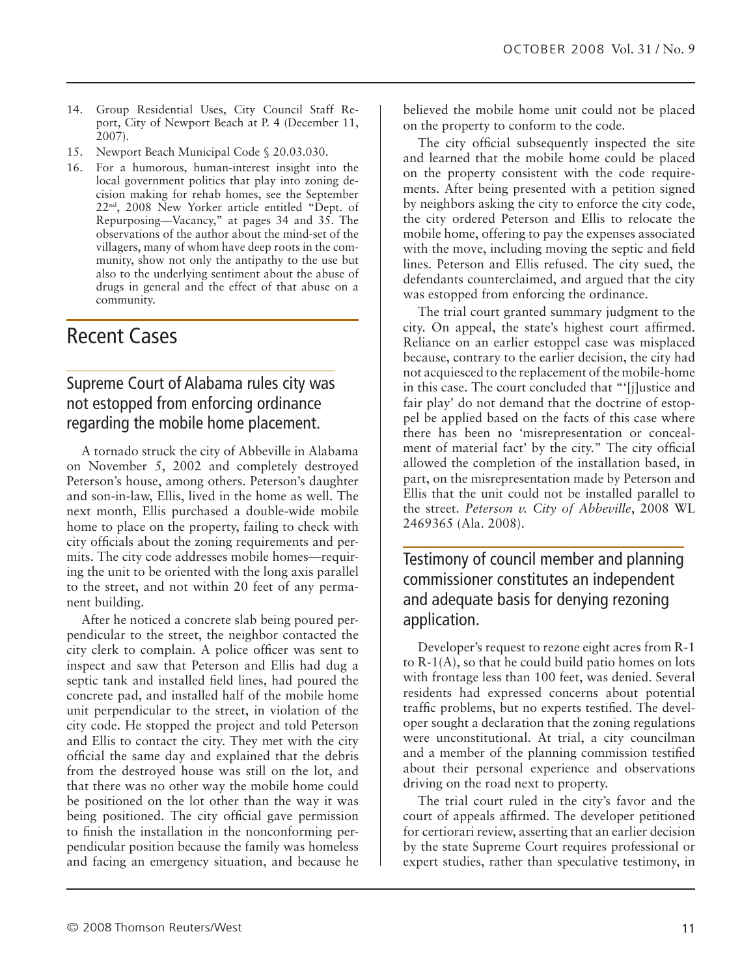- 14. Group Residential Uses, City Council Staff Report, City of Newport Beach at P. 4 (December 11, 2007).
- 15. Newport Beach Municipal Code § 20.03.030.
- 16. For a humorous, human-interest insight into the local government politics that play into zoning decision making for rehab homes, see the September 22nd, 2008 New Yorker article entitled "Dept. of Repurposing—Vacancy," at pages 34 and 35. The observations of the author about the mind-set of the villagers, many of whom have deep roots in the community, show not only the antipathy to the use but also to the underlying sentiment about the abuse of drugs in general and the effect of that abuse on a community.

# Recent Cases

### Supreme Court of Alabama rules city was not estopped from enforcing ordinance regarding the mobile home placement.

A tornado struck the city of Abbeville in Alabama on November 5, 2002 and completely destroyed Peterson's house, among others. Peterson's daughter and son-in-law, Ellis, lived in the home as well. The next month, Ellis purchased a double-wide mobile home to place on the property, failing to check with city officials about the zoning requirements and permits. The city code addresses mobile homes—requiring the unit to be oriented with the long axis parallel to the street, and not within 20 feet of any permanent building.

After he noticed a concrete slab being poured perpendicular to the street, the neighbor contacted the city clerk to complain. A police officer was sent to inspect and saw that Peterson and Ellis had dug a septic tank and installed field lines, had poured the concrete pad, and installed half of the mobile home unit perpendicular to the street, in violation of the city code. He stopped the project and told Peterson and Ellis to contact the city. They met with the city official the same day and explained that the debris from the destroyed house was still on the lot, and that there was no other way the mobile home could be positioned on the lot other than the way it was being positioned. The city official gave permission to finish the installation in the nonconforming perpendicular position because the family was homeless and facing an emergency situation, and because he

believed the mobile home unit could not be placed on the property to conform to the code.

The city official subsequently inspected the site and learned that the mobile home could be placed on the property consistent with the code requirements. After being presented with a petition signed by neighbors asking the city to enforce the city code, the city ordered Peterson and Ellis to relocate the mobile home, offering to pay the expenses associated with the move, including moving the septic and field lines. Peterson and Ellis refused. The city sued, the defendants counterclaimed, and argued that the city was estopped from enforcing the ordinance.

The trial court granted summary judgment to the city. On appeal, the state's highest court affirmed. Reliance on an earlier estoppel case was misplaced because, contrary to the earlier decision, the city had not acquiesced to the replacement of the mobile-home in this case. The court concluded that "'[j]ustice and fair play' do not demand that the doctrine of estoppel be applied based on the facts of this case where there has been no 'misrepresentation or concealment of material fact' by the city." The city official allowed the completion of the installation based, in part, on the misrepresentation made by Peterson and Ellis that the unit could not be installed parallel to the street. *Peterson v. City of Abbeville*, 2008 WL 2469365 (Ala. 2008).

Testimony of council member and planning commissioner constitutes an independent and adequate basis for denying rezoning application.

Developer's request to rezone eight acres from R-1 to R-1(A), so that he could build patio homes on lots with frontage less than 100 feet, was denied. Several residents had expressed concerns about potential traffic problems, but no experts testified. The developer sought a declaration that the zoning regulations were unconstitutional. At trial, a city councilman and a member of the planning commission testified about their personal experience and observations driving on the road next to property.

The trial court ruled in the city's favor and the court of appeals affirmed. The developer petitioned for certiorari review, asserting that an earlier decision by the state Supreme Court requires professional or expert studies, rather than speculative testimony, in